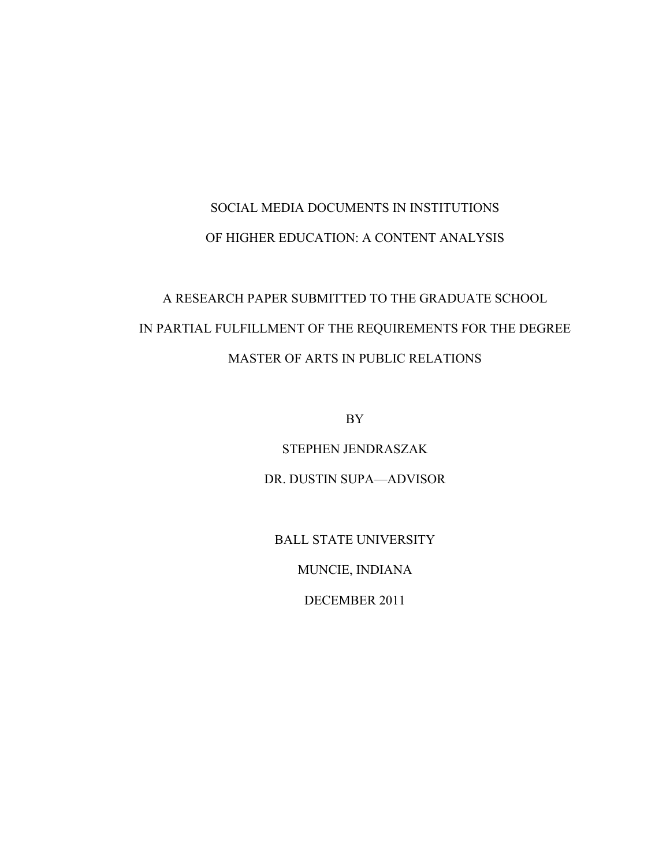# SOCIAL MEDIA DOCUMENTS IN INSTITUTIONS OF HIGHER EDUCATION: A CONTENT ANALYSIS

# A RESEARCH PAPER SUBMITTED TO THE GRADUATE SCHOOL IN PARTIAL FULFILLMENT OF THE REQUIREMENTS FOR THE DEGREE MASTER OF ARTS IN PUBLIC RELATIONS

BY

STEPHEN JENDRASZAK

DR. DUSTIN SUPA—ADVISOR

BALL STATE UNIVERSITY

MUNCIE, INDIANA

DECEMBER 2011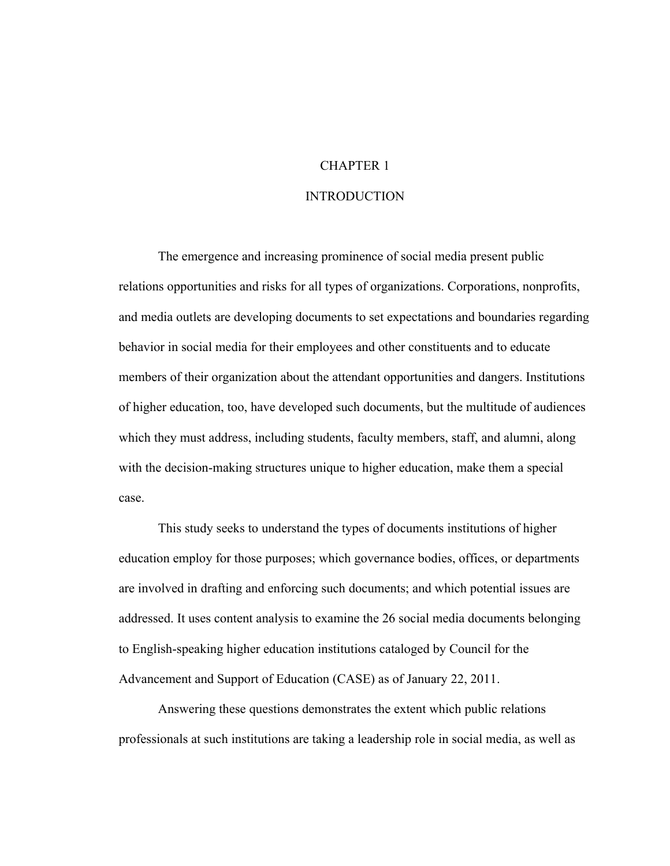# CHAPTER 1 INTRODUCTION

The emergence and increasing prominence of social media present public relations opportunities and risks for all types of organizations. Corporations, nonprofits, and media outlets are developing documents to set expectations and boundaries regarding behavior in social media for their employees and other constituents and to educate members of their organization about the attendant opportunities and dangers. Institutions of higher education, too, have developed such documents, but the multitude of audiences which they must address, including students, faculty members, staff, and alumni, along with the decision-making structures unique to higher education, make them a special case.

This study seeks to understand the types of documents institutions of higher education employ for those purposes; which governance bodies, offices, or departments are involved in drafting and enforcing such documents; and which potential issues are addressed. It uses content analysis to examine the 26 social media documents belonging to English-speaking higher education institutions cataloged by Council for the Advancement and Support of Education (CASE) as of January 22, 2011.

Answering these questions demonstrates the extent which public relations professionals at such institutions are taking a leadership role in social media, as well as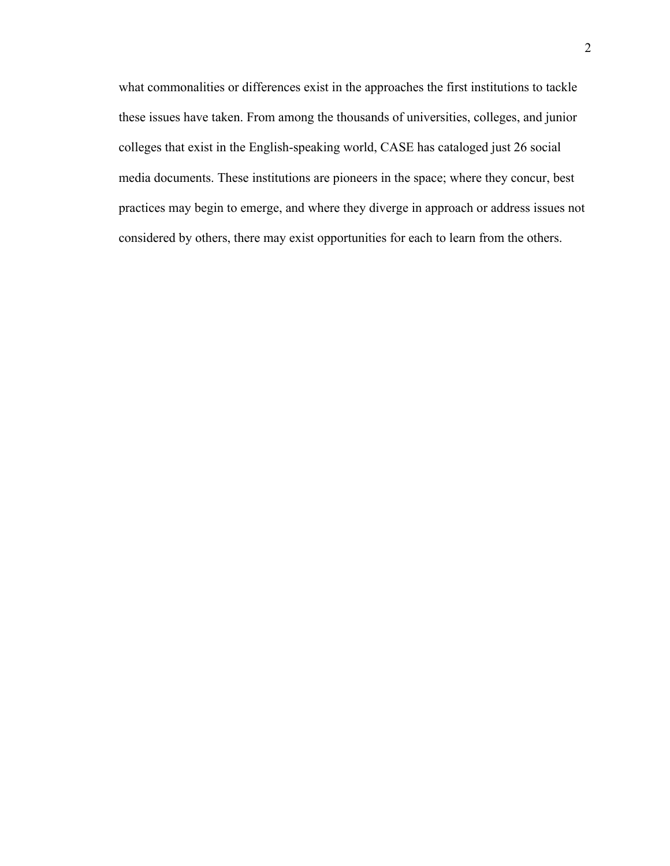what commonalities or differences exist in the approaches the first institutions to tackle these issues have taken. From among the thousands of universities, colleges, and junior colleges that exist in the English-speaking world, CASE has cataloged just 26 social media documents. These institutions are pioneers in the space; where they concur, best practices may begin to emerge, and where they diverge in approach or address issues not considered by others, there may exist opportunities for each to learn from the others.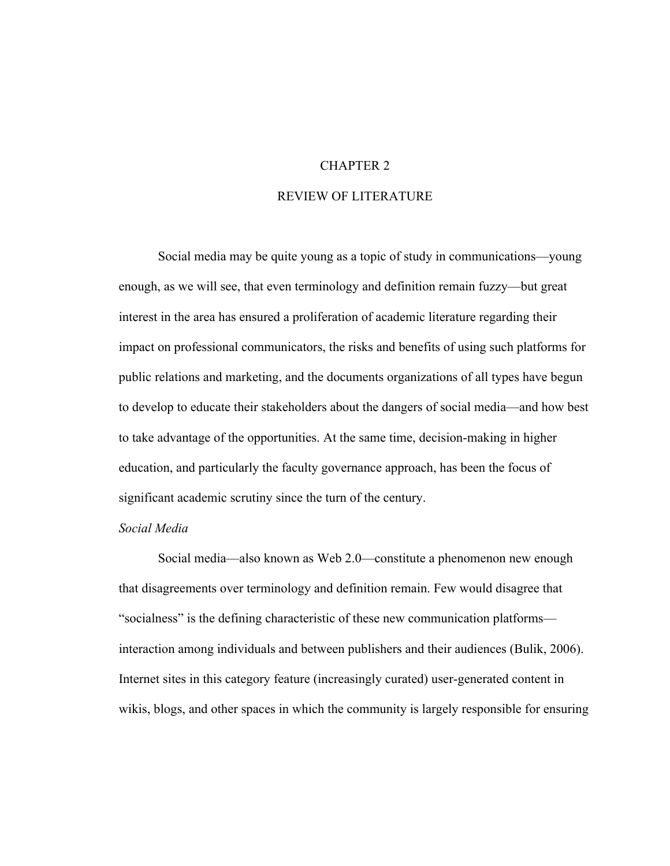## CHAPTER 2

#### REVIEW OF LITERATURE

Social media may be quite young as a topic of study in communications—young enough, as we will see, that even terminology and definition remain fuzzy—but great interest in the area has ensured a proliferation of academic literature regarding their impact on professional communicators, the risks and benefits of using such platforms for public relations and marketing, and the documents organizations of all types have begun to develop to educate their stakeholders about the dangers of social media—and how best to take advantage of the opportunities. At the same time, decision-making in higher education, and particularly the faculty governance approach, has been the focus of significant academic scrutiny since the turn of the century.

#### *Social Media*

Social media—also known as Web 2.0—constitute a phenomenon new enough that disagreements over terminology and definition remain. Few would disagree that "socialness" is the defining characteristic of these new communication platforms interaction among individuals and between publishers and their audiences (Bulik, 2006). Internet sites in this category feature (increasingly curated) user-generated content in wikis, blogs, and other spaces in which the community is largely responsible for ensuring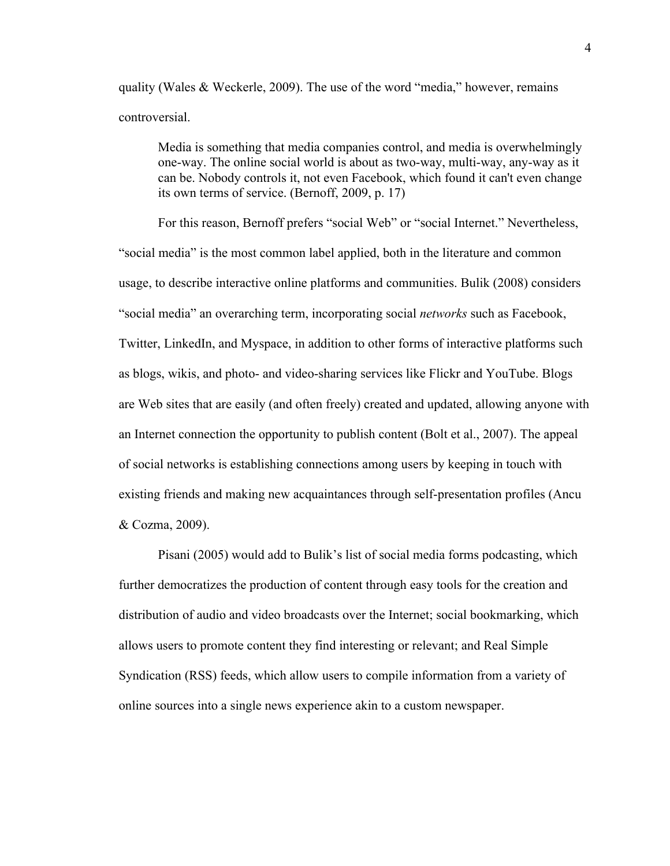quality (Wales & Weckerle, 2009). The use of the word "media," however, remains controversial.

Media is something that media companies control, and media is overwhelmingly one-way. The online social world is about as two-way, multi-way, any-way as it can be. Nobody controls it, not even Facebook, which found it can't even change its own terms of service. (Bernoff, 2009, p. 17)

For this reason, Bernoff prefers "social Web" or "social Internet." Nevertheless, "social media" is the most common label applied, both in the literature and common usage, to describe interactive online platforms and communities. Bulik (2008) considers "social media" an overarching term, incorporating social *networks* such as Facebook, Twitter, LinkedIn, and Myspace, in addition to other forms of interactive platforms such as blogs, wikis, and photo- and video-sharing services like Flickr and YouTube. Blogs are Web sites that are easily (and often freely) created and updated, allowing anyone with an Internet connection the opportunity to publish content (Bolt et al., 2007). The appeal of social networks is establishing connections among users by keeping in touch with existing friends and making new acquaintances through self-presentation profiles (Ancu & Cozma, 2009).

Pisani (2005) would add to Bulik's list of social media forms podcasting, which further democratizes the production of content through easy tools for the creation and distribution of audio and video broadcasts over the Internet; social bookmarking, which allows users to promote content they find interesting or relevant; and Real Simple Syndication (RSS) feeds, which allow users to compile information from a variety of online sources into a single news experience akin to a custom newspaper.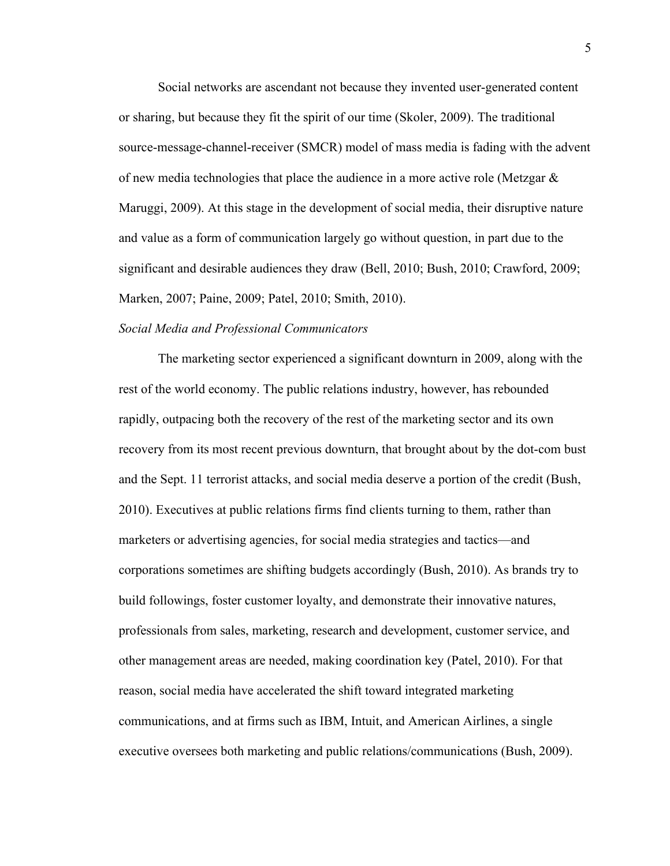Social networks are ascendant not because they invented user-generated content or sharing, but because they fit the spirit of our time (Skoler, 2009). The traditional source-message-channel-receiver (SMCR) model of mass media is fading with the advent of new media technologies that place the audience in a more active role (Metzgar  $\&$ Maruggi, 2009). At this stage in the development of social media, their disruptive nature and value as a form of communication largely go without question, in part due to the significant and desirable audiences they draw (Bell, 2010; Bush, 2010; Crawford, 2009; Marken, 2007; Paine, 2009; Patel, 2010; Smith, 2010).

#### *Social Media and Professional Communicators*

The marketing sector experienced a significant downturn in 2009, along with the rest of the world economy. The public relations industry, however, has rebounded rapidly, outpacing both the recovery of the rest of the marketing sector and its own recovery from its most recent previous downturn, that brought about by the dot-com bust and the Sept. 11 terrorist attacks, and social media deserve a portion of the credit (Bush, 2010). Executives at public relations firms find clients turning to them, rather than marketers or advertising agencies, for social media strategies and tactics—and corporations sometimes are shifting budgets accordingly (Bush, 2010). As brands try to build followings, foster customer loyalty, and demonstrate their innovative natures, professionals from sales, marketing, research and development, customer service, and other management areas are needed, making coordination key (Patel, 2010). For that reason, social media have accelerated the shift toward integrated marketing communications, and at firms such as IBM, Intuit, and American Airlines, a single executive oversees both marketing and public relations/communications (Bush, 2009).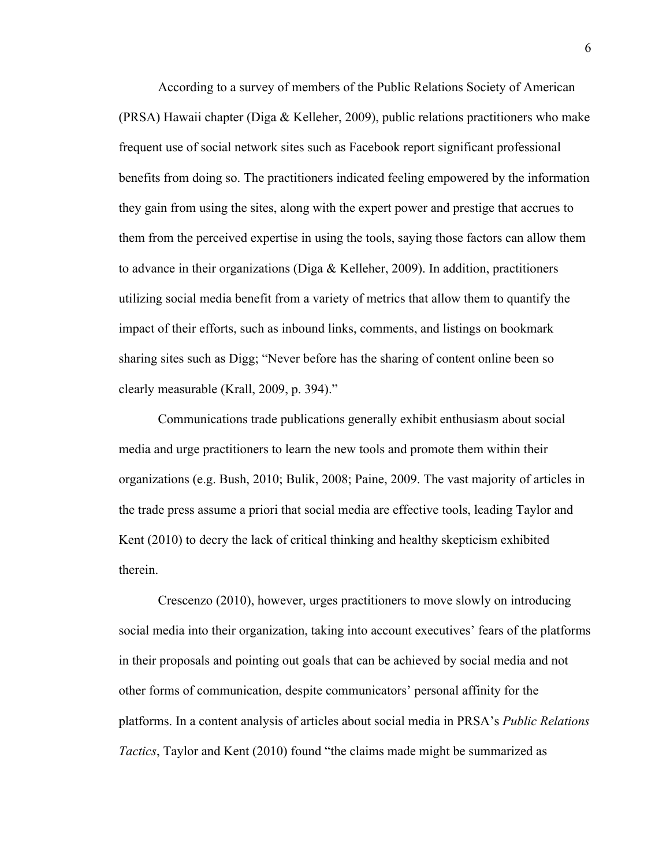According to a survey of members of the Public Relations Society of American (PRSA) Hawaii chapter (Diga & Kelleher, 2009), public relations practitioners who make frequent use of social network sites such as Facebook report significant professional benefits from doing so. The practitioners indicated feeling empowered by the information they gain from using the sites, along with the expert power and prestige that accrues to them from the perceived expertise in using the tools, saying those factors can allow them to advance in their organizations (Diga & Kelleher, 2009). In addition, practitioners utilizing social media benefit from a variety of metrics that allow them to quantify the impact of their efforts, such as inbound links, comments, and listings on bookmark sharing sites such as Digg; "Never before has the sharing of content online been so clearly measurable (Krall, 2009, p. 394)."

Communications trade publications generally exhibit enthusiasm about social media and urge practitioners to learn the new tools and promote them within their organizations (e.g. Bush, 2010; Bulik, 2008; Paine, 2009. The vast majority of articles in the trade press assume a priori that social media are effective tools, leading Taylor and Kent (2010) to decry the lack of critical thinking and healthy skepticism exhibited therein.

Crescenzo (2010), however, urges practitioners to move slowly on introducing social media into their organization, taking into account executives' fears of the platforms in their proposals and pointing out goals that can be achieved by social media and not other forms of communication, despite communicators' personal affinity for the platforms. In a content analysis of articles about social media in PRSA's *Public Relations Tactics*, Taylor and Kent (2010) found "the claims made might be summarized as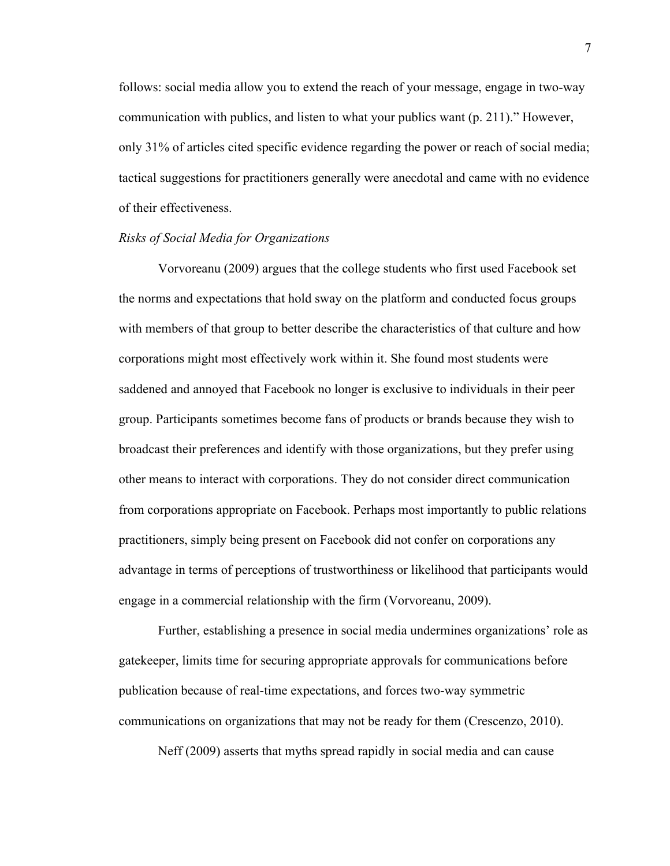follows: social media allow you to extend the reach of your message, engage in two-way communication with publics, and listen to what your publics want (p. 211)." However, only 31% of articles cited specific evidence regarding the power or reach of social media; tactical suggestions for practitioners generally were anecdotal and came with no evidence of their effectiveness.

#### *Risks of Social Media for Organizations*

Vorvoreanu (2009) argues that the college students who first used Facebook set the norms and expectations that hold sway on the platform and conducted focus groups with members of that group to better describe the characteristics of that culture and how corporations might most effectively work within it. She found most students were saddened and annoyed that Facebook no longer is exclusive to individuals in their peer group. Participants sometimes become fans of products or brands because they wish to broadcast their preferences and identify with those organizations, but they prefer using other means to interact with corporations. They do not consider direct communication from corporations appropriate on Facebook. Perhaps most importantly to public relations practitioners, simply being present on Facebook did not confer on corporations any advantage in terms of perceptions of trustworthiness or likelihood that participants would engage in a commercial relationship with the firm (Vorvoreanu, 2009).

Further, establishing a presence in social media undermines organizations' role as gatekeeper, limits time for securing appropriate approvals for communications before publication because of real-time expectations, and forces two-way symmetric communications on organizations that may not be ready for them (Crescenzo, 2010).

Neff (2009) asserts that myths spread rapidly in social media and can cause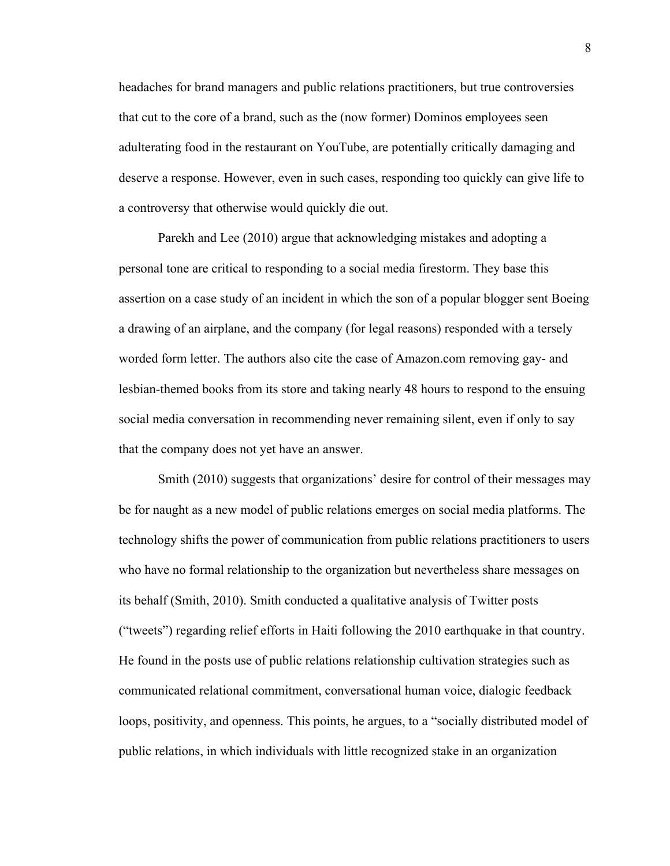headaches for brand managers and public relations practitioners, but true controversies that cut to the core of a brand, such as the (now former) Dominos employees seen adulterating food in the restaurant on YouTube, are potentially critically damaging and deserve a response. However, even in such cases, responding too quickly can give life to a controversy that otherwise would quickly die out.

Parekh and Lee (2010) argue that acknowledging mistakes and adopting a personal tone are critical to responding to a social media firestorm. They base this assertion on a case study of an incident in which the son of a popular blogger sent Boeing a drawing of an airplane, and the company (for legal reasons) responded with a tersely worded form letter. The authors also cite the case of Amazon.com removing gay- and lesbian-themed books from its store and taking nearly 48 hours to respond to the ensuing social media conversation in recommending never remaining silent, even if only to say that the company does not yet have an answer.

Smith (2010) suggests that organizations' desire for control of their messages may be for naught as a new model of public relations emerges on social media platforms. The technology shifts the power of communication from public relations practitioners to users who have no formal relationship to the organization but nevertheless share messages on its behalf (Smith, 2010). Smith conducted a qualitative analysis of Twitter posts ("tweets") regarding relief efforts in Haiti following the 2010 earthquake in that country. He found in the posts use of public relations relationship cultivation strategies such as communicated relational commitment, conversational human voice, dialogic feedback loops, positivity, and openness. This points, he argues, to a "socially distributed model of public relations, in which individuals with little recognized stake in an organization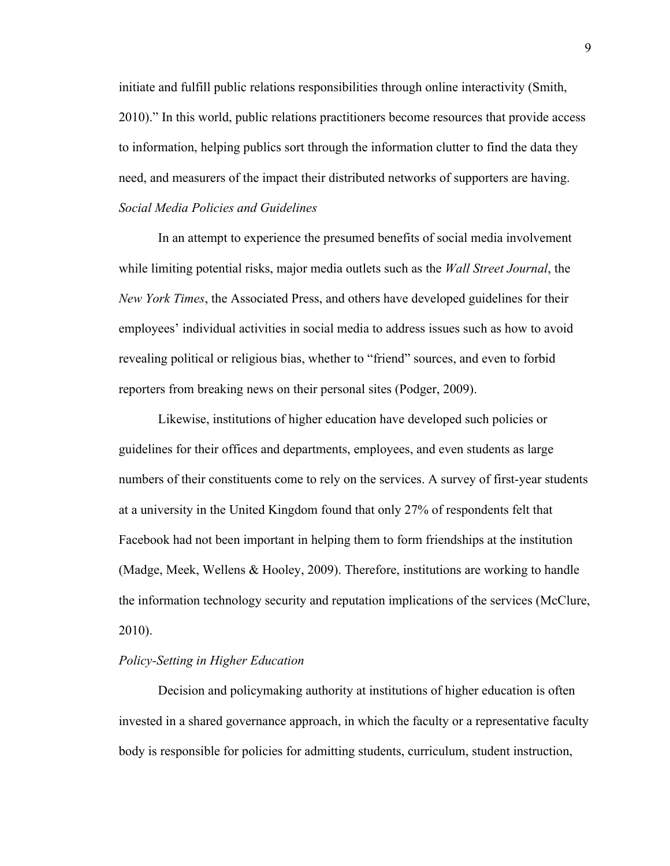initiate and fulfill public relations responsibilities through online interactivity (Smith, 2010)." In this world, public relations practitioners become resources that provide access to information, helping publics sort through the information clutter to find the data they need, and measurers of the impact their distributed networks of supporters are having. *Social Media Policies and Guidelines*

In an attempt to experience the presumed benefits of social media involvement while limiting potential risks, major media outlets such as the *Wall Street Journal*, the *New York Times*, the Associated Press, and others have developed guidelines for their employees' individual activities in social media to address issues such as how to avoid revealing political or religious bias, whether to "friend" sources, and even to forbid reporters from breaking news on their personal sites (Podger, 2009).

Likewise, institutions of higher education have developed such policies or guidelines for their offices and departments, employees, and even students as large numbers of their constituents come to rely on the services. A survey of first-year students at a university in the United Kingdom found that only 27% of respondents felt that Facebook had not been important in helping them to form friendships at the institution (Madge, Meek, Wellens & Hooley, 2009). Therefore, institutions are working to handle the information technology security and reputation implications of the services (McClure, 2010).

#### *Policy-Setting in Higher Education*

Decision and policymaking authority at institutions of higher education is often invested in a shared governance approach, in which the faculty or a representative faculty body is responsible for policies for admitting students, curriculum, student instruction,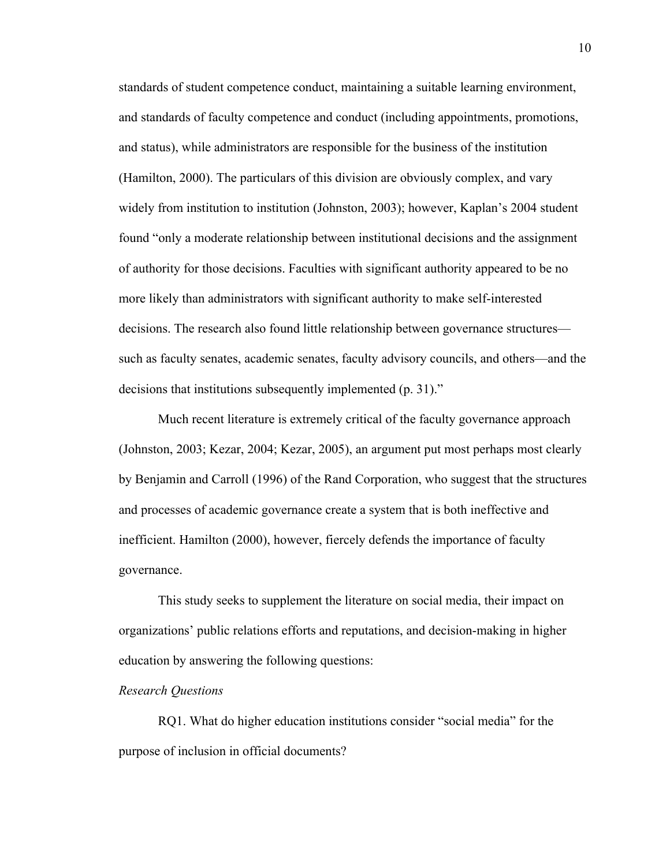standards of student competence conduct, maintaining a suitable learning environment, and standards of faculty competence and conduct (including appointments, promotions, and status), while administrators are responsible for the business of the institution (Hamilton, 2000). The particulars of this division are obviously complex, and vary widely from institution to institution (Johnston, 2003); however, Kaplan's 2004 student found "only a moderate relationship between institutional decisions and the assignment of authority for those decisions. Faculties with significant authority appeared to be no more likely than administrators with significant authority to make self-interested decisions. The research also found little relationship between governance structures such as faculty senates, academic senates, faculty advisory councils, and others—and the decisions that institutions subsequently implemented (p. 31)."

Much recent literature is extremely critical of the faculty governance approach (Johnston, 2003; Kezar, 2004; Kezar, 2005), an argument put most perhaps most clearly by Benjamin and Carroll (1996) of the Rand Corporation, who suggest that the structures and processes of academic governance create a system that is both ineffective and inefficient. Hamilton (2000), however, fiercely defends the importance of faculty governance.

This study seeks to supplement the literature on social media, their impact on organizations' public relations efforts and reputations, and decision-making in higher education by answering the following questions:

#### *Research Questions*

RQ1. What do higher education institutions consider "social media" for the purpose of inclusion in official documents?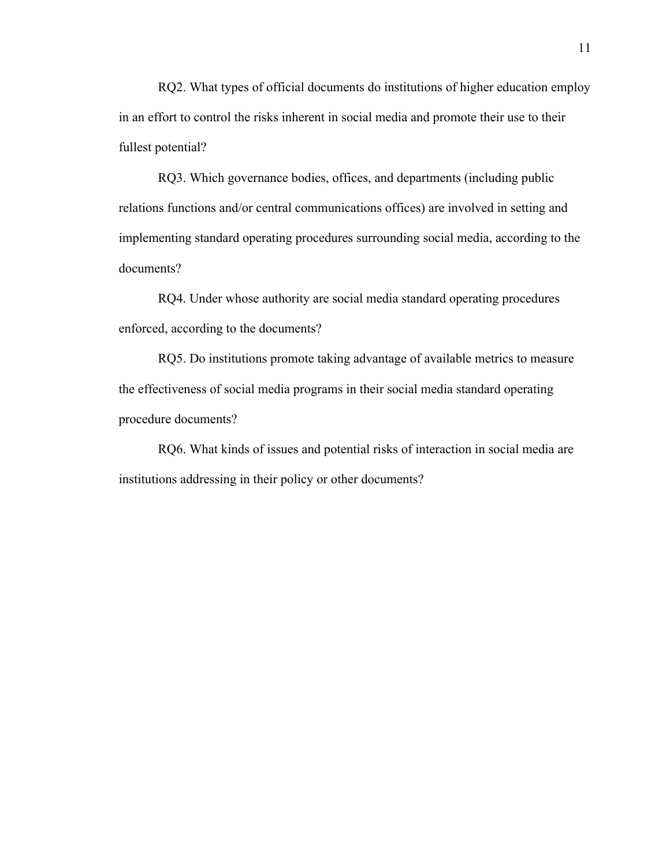RQ2. What types of official documents do institutions of higher education employ in an effort to control the risks inherent in social media and promote their use to their fullest potential?

RQ3. Which governance bodies, offices, and departments (including public relations functions and/or central communications offices) are involved in setting and implementing standard operating procedures surrounding social media, according to the documents?

RQ4. Under whose authority are social media standard operating procedures enforced, according to the documents?

RQ5. Do institutions promote taking advantage of available metrics to measure the effectiveness of social media programs in their social media standard operating procedure documents?

RQ6. What kinds of issues and potential risks of interaction in social media are institutions addressing in their policy or other documents?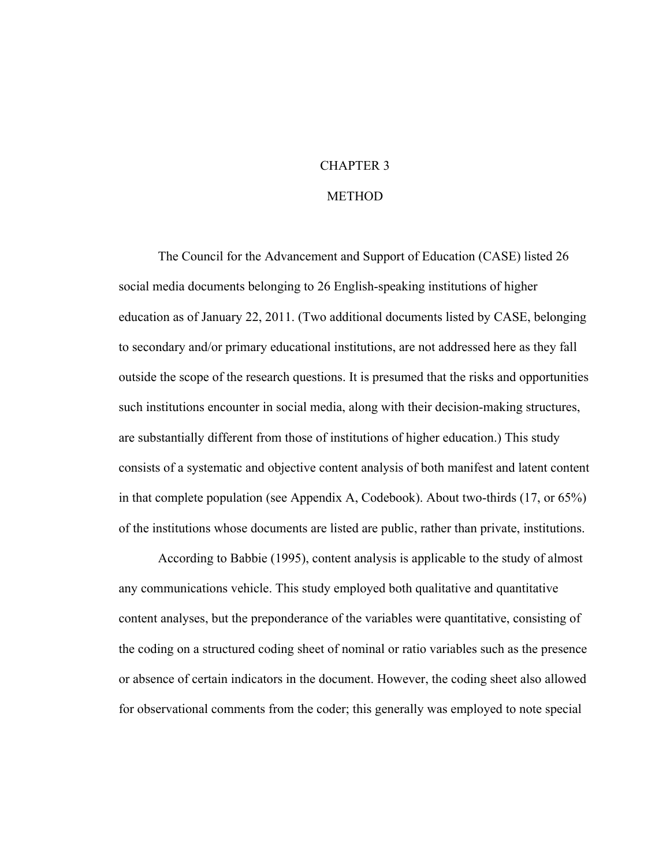# CHAPTER 3

#### **METHOD**

The Council for the Advancement and Support of Education (CASE) listed 26 social media documents belonging to 26 English-speaking institutions of higher education as of January 22, 2011. (Two additional documents listed by CASE, belonging to secondary and/or primary educational institutions, are not addressed here as they fall outside the scope of the research questions. It is presumed that the risks and opportunities such institutions encounter in social media, along with their decision-making structures, are substantially different from those of institutions of higher education.) This study consists of a systematic and objective content analysis of both manifest and latent content in that complete population (see Appendix A, Codebook). About two-thirds (17, or 65%) of the institutions whose documents are listed are public, rather than private, institutions.

According to Babbie (1995), content analysis is applicable to the study of almost any communications vehicle. This study employed both qualitative and quantitative content analyses, but the preponderance of the variables were quantitative, consisting of the coding on a structured coding sheet of nominal or ratio variables such as the presence or absence of certain indicators in the document. However, the coding sheet also allowed for observational comments from the coder; this generally was employed to note special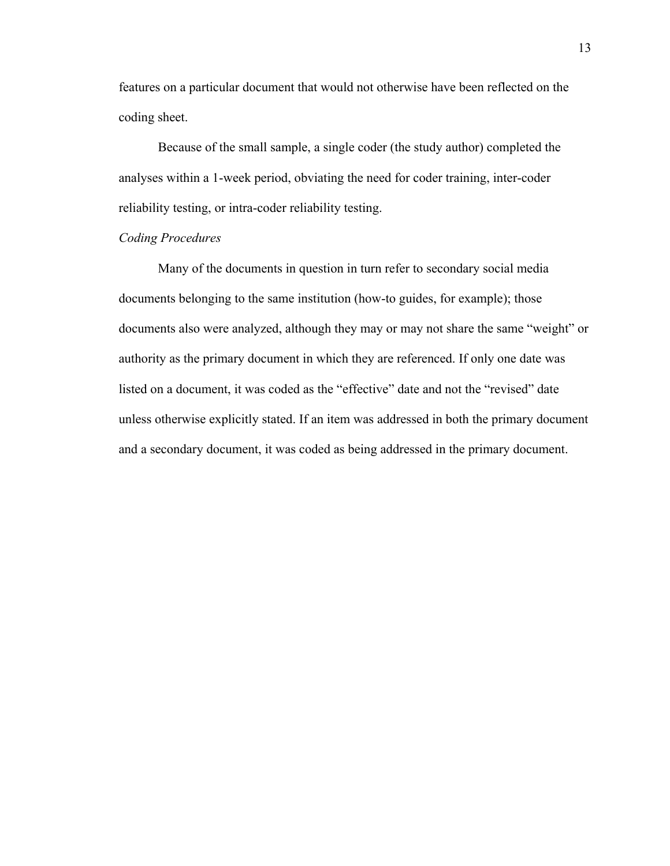features on a particular document that would not otherwise have been reflected on the coding sheet.

Because of the small sample, a single coder (the study author) completed the analyses within a 1-week period, obviating the need for coder training, inter-coder reliability testing, or intra-coder reliability testing.

#### *Coding Procedures*

Many of the documents in question in turn refer to secondary social media documents belonging to the same institution (how-to guides, for example); those documents also were analyzed, although they may or may not share the same "weight" or authority as the primary document in which they are referenced. If only one date was listed on a document, it was coded as the "effective" date and not the "revised" date unless otherwise explicitly stated. If an item was addressed in both the primary document and a secondary document, it was coded as being addressed in the primary document.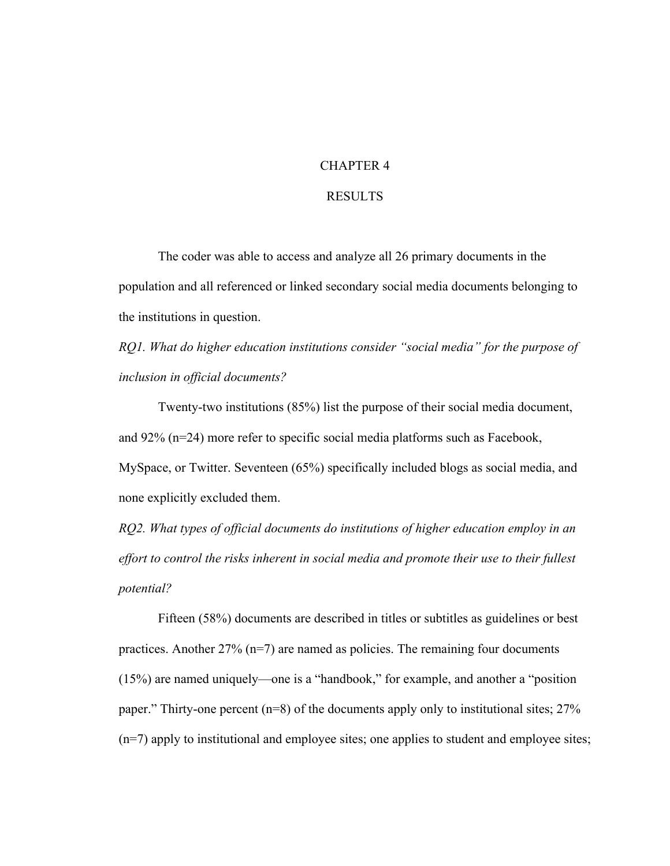#### CHAPTER 4

#### RESULTS

The coder was able to access and analyze all 26 primary documents in the population and all referenced or linked secondary social media documents belonging to the institutions in question.

*RQ1. What do higher education institutions consider "social media" for the purpose of inclusion in official documents?*

Twenty-two institutions (85%) list the purpose of their social media document, and 92% (n=24) more refer to specific social media platforms such as Facebook, MySpace, or Twitter. Seventeen (65%) specifically included blogs as social media, and none explicitly excluded them.

*RQ2. What types of official documents do institutions of higher education employ in an effort to control the risks inherent in social media and promote their use to their fullest potential?*

Fifteen (58%) documents are described in titles or subtitles as guidelines or best practices. Another  $27\%$  (n=7) are named as policies. The remaining four documents (15%) are named uniquely—one is a "handbook," for example, and another a "position paper." Thirty-one percent (n=8) of the documents apply only to institutional sites; 27% (n=7) apply to institutional and employee sites; one applies to student and employee sites;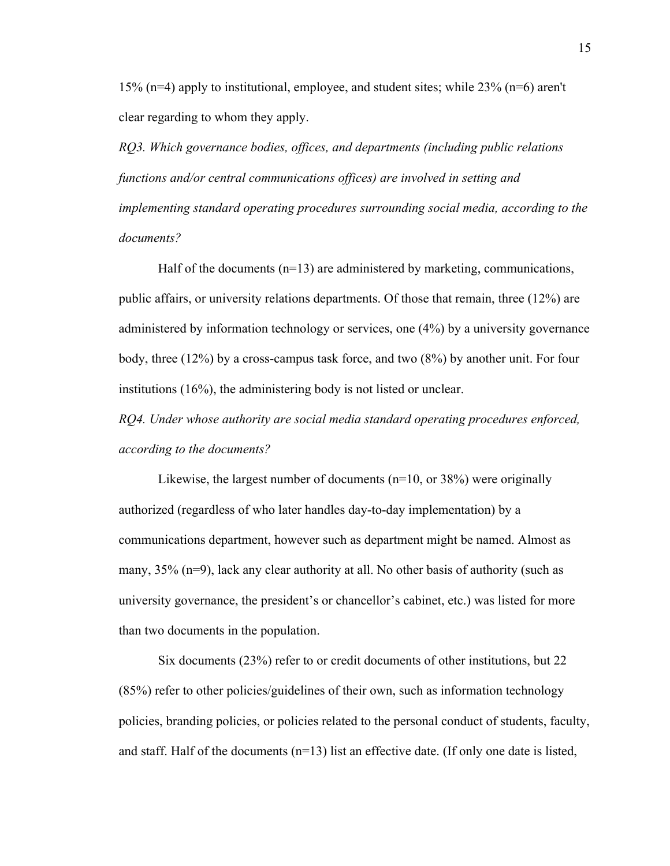15% (n=4) apply to institutional, employee, and student sites; while 23% (n=6) aren't clear regarding to whom they apply.

*RQ3. Which governance bodies, offices, and departments (including public relations functions and/or central communications offices) are involved in setting and implementing standard operating procedures surrounding social media, according to the documents?*

Half of the documents  $(n=13)$  are administered by marketing, communications, public affairs, or university relations departments. Of those that remain, three (12%) are administered by information technology or services, one (4%) by a university governance body, three (12%) by a cross-campus task force, and two (8%) by another unit. For four institutions (16%), the administering body is not listed or unclear.

*RQ4. Under whose authority are social media standard operating procedures enforced, according to the documents?*

Likewise, the largest number of documents (n=10, or 38%) were originally authorized (regardless of who later handles day-to-day implementation) by a communications department, however such as department might be named. Almost as many, 35% (n=9), lack any clear authority at all. No other basis of authority (such as university governance, the president's or chancellor's cabinet, etc.) was listed for more than two documents in the population.

Six documents (23%) refer to or credit documents of other institutions, but 22 (85%) refer to other policies/guidelines of their own, such as information technology policies, branding policies, or policies related to the personal conduct of students, faculty, and staff. Half of the documents (n=13) list an effective date. (If only one date is listed,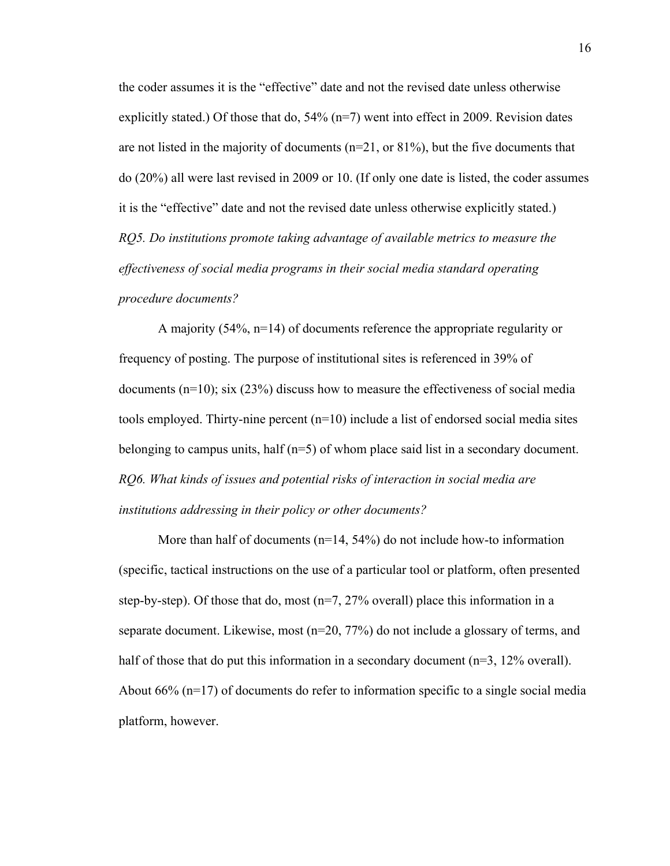the coder assumes it is the "effective" date and not the revised date unless otherwise explicitly stated.) Of those that do,  $54\%$  (n=7) went into effect in 2009. Revision dates are not listed in the majority of documents  $(n=21, or 81\%)$ , but the five documents that do (20%) all were last revised in 2009 or 10. (If only one date is listed, the coder assumes it is the "effective" date and not the revised date unless otherwise explicitly stated.) *RQ5. Do institutions promote taking advantage of available metrics to measure the effectiveness of social media programs in their social media standard operating procedure documents?*

A majority (54%, n=14) of documents reference the appropriate regularity or frequency of posting. The purpose of institutional sites is referenced in 39% of documents  $(n=10)$ ; six  $(23%)$  discuss how to measure the effectiveness of social media tools employed. Thirty-nine percent (n=10) include a list of endorsed social media sites belonging to campus units, half (n=5) of whom place said list in a secondary document. *RQ6. What kinds of issues and potential risks of interaction in social media are institutions addressing in their policy or other documents?*

More than half of documents  $(n=14, 54%)$  do not include how-to information (specific, tactical instructions on the use of a particular tool or platform, often presented step-by-step). Of those that do, most  $(n=7, 27\%$  overall) place this information in a separate document. Likewise, most (n=20, 77%) do not include a glossary of terms, and half of those that do put this information in a secondary document (n=3, 12% overall). About 66% (n=17) of documents do refer to information specific to a single social media platform, however.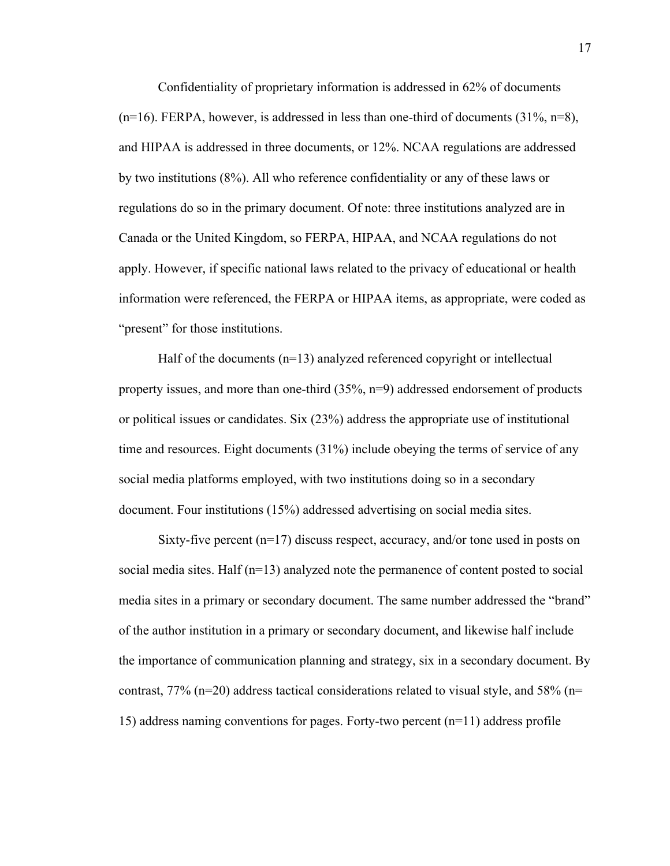Confidentiality of proprietary information is addressed in 62% of documents  $(n=16)$ . FERPA, however, is addressed in less than one-third of documents  $(31\%, n=8)$ , and HIPAA is addressed in three documents, or 12%. NCAA regulations are addressed by two institutions (8%). All who reference confidentiality or any of these laws or regulations do so in the primary document. Of note: three institutions analyzed are in Canada or the United Kingdom, so FERPA, HIPAA, and NCAA regulations do not apply. However, if specific national laws related to the privacy of educational or health information were referenced, the FERPA or HIPAA items, as appropriate, were coded as "present" for those institutions.

Half of the documents (n=13) analyzed referenced copyright or intellectual property issues, and more than one-third  $(35\%, n=9)$  addressed endorsement of products or political issues or candidates. Six (23%) address the appropriate use of institutional time and resources. Eight documents (31%) include obeying the terms of service of any social media platforms employed, with two institutions doing so in a secondary document. Four institutions (15%) addressed advertising on social media sites.

Sixty-five percent (n=17) discuss respect, accuracy, and/or tone used in posts on social media sites. Half (n=13) analyzed note the permanence of content posted to social media sites in a primary or secondary document. The same number addressed the "brand" of the author institution in a primary or secondary document, and likewise half include the importance of communication planning and strategy, six in a secondary document. By contrast, 77% (n=20) address tactical considerations related to visual style, and 58% (n= 15) address naming conventions for pages. Forty-two percent (n=11) address profile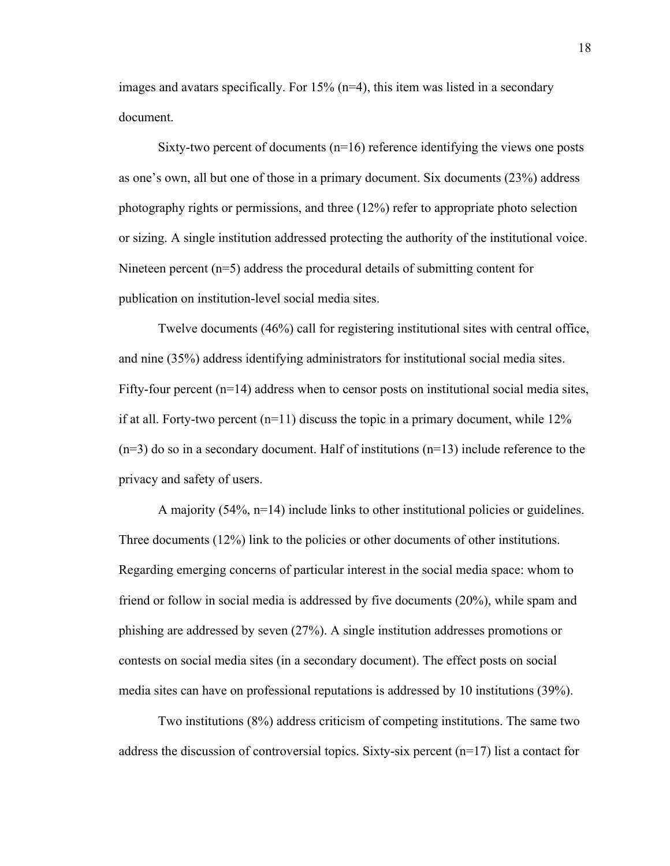images and avatars specifically. For 15% (n=4), this item was listed in a secondary document.

Sixty-two percent of documents  $(n=16)$  reference identifying the views one posts as one's own, all but one of those in a primary document. Six documents (23%) address photography rights or permissions, and three (12%) refer to appropriate photo selection or sizing. A single institution addressed protecting the authority of the institutional voice. Nineteen percent (n=5) address the procedural details of submitting content for publication on institution-level social media sites.

Twelve documents (46%) call for registering institutional sites with central office, and nine (35%) address identifying administrators for institutional social media sites. Fifty-four percent  $(n=14)$  address when to censor posts on institutional social media sites, if at all. Forty-two percent  $(n=11)$  discuss the topic in a primary document, while 12%  $(n=3)$  do so in a secondary document. Half of institutions  $(n=13)$  include reference to the privacy and safety of users.

A majority (54%, n=14) include links to other institutional policies or guidelines. Three documents (12%) link to the policies or other documents of other institutions. Regarding emerging concerns of particular interest in the social media space: whom to friend or follow in social media is addressed by five documents (20%), while spam and phishing are addressed by seven (27%). A single institution addresses promotions or contests on social media sites (in a secondary document). The effect posts on social media sites can have on professional reputations is addressed by 10 institutions (39%).

Two institutions (8%) address criticism of competing institutions. The same two address the discussion of controversial topics. Sixty-six percent  $(n=17)$  list a contact for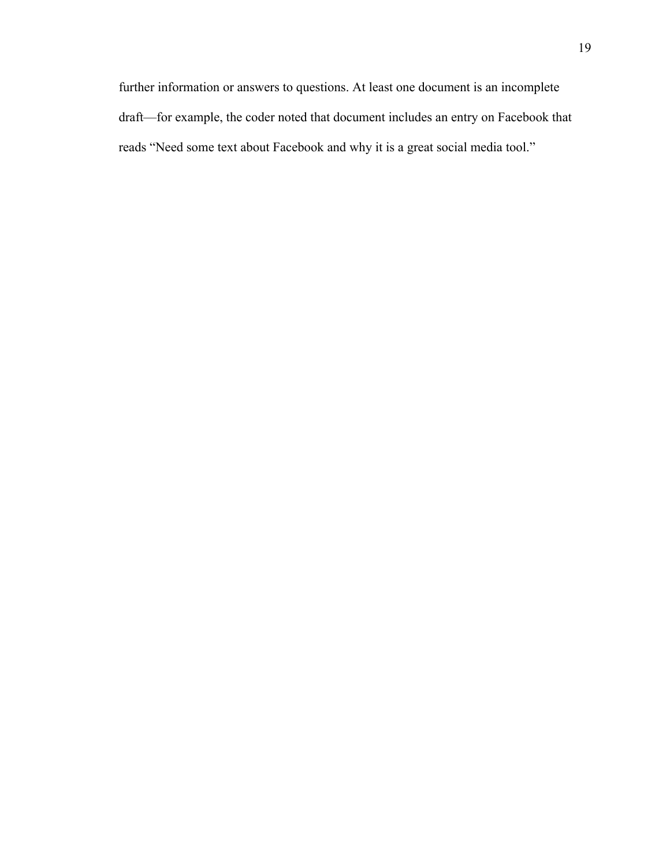further information or answers to questions. At least one document is an incomplete draft—for example, the coder noted that document includes an entry on Facebook that reads "Need some text about Facebook and why it is a great social media tool."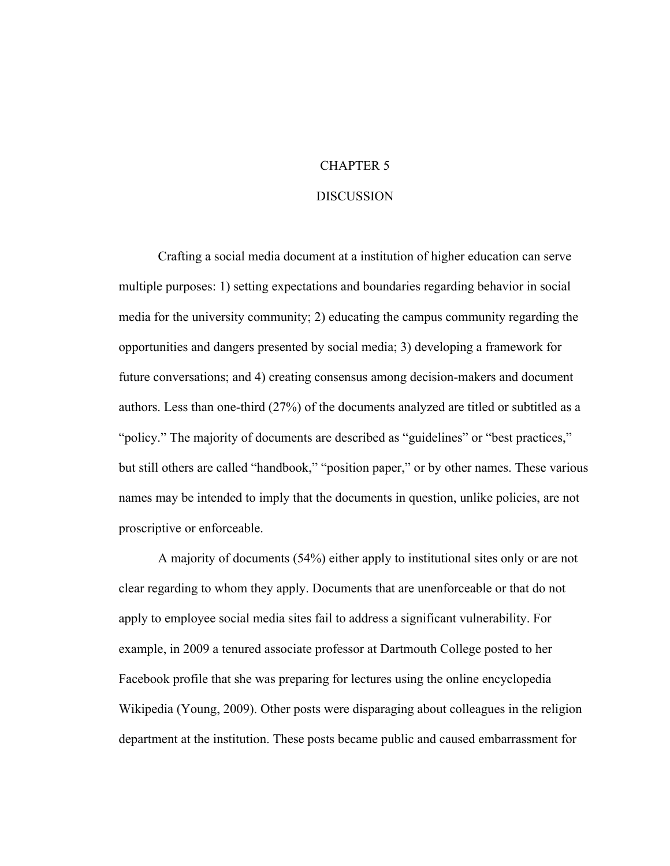## CHAPTER 5

#### DISCUSSION

Crafting a social media document at a institution of higher education can serve multiple purposes: 1) setting expectations and boundaries regarding behavior in social media for the university community; 2) educating the campus community regarding the opportunities and dangers presented by social media; 3) developing a framework for future conversations; and 4) creating consensus among decision-makers and document authors. Less than one-third (27%) of the documents analyzed are titled or subtitled as a "policy." The majority of documents are described as "guidelines" or "best practices," but still others are called "handbook," "position paper," or by other names. These various names may be intended to imply that the documents in question, unlike policies, are not proscriptive or enforceable.

A majority of documents (54%) either apply to institutional sites only or are not clear regarding to whom they apply. Documents that are unenforceable or that do not apply to employee social media sites fail to address a significant vulnerability. For example, in 2009 a tenured associate professor at Dartmouth College posted to her Facebook profile that she was preparing for lectures using the online encyclopedia Wikipedia (Young, 2009). Other posts were disparaging about colleagues in the religion department at the institution. These posts became public and caused embarrassment for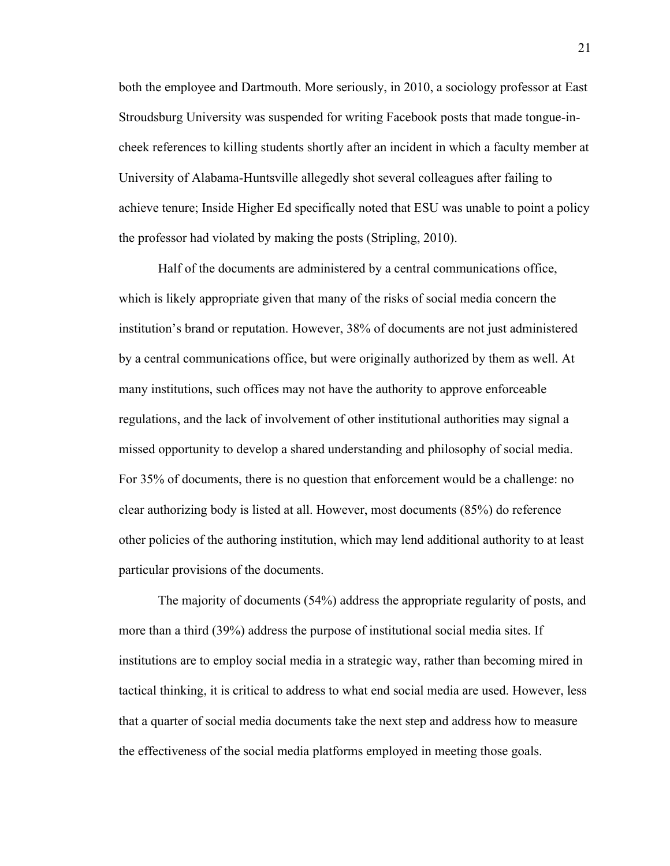both the employee and Dartmouth. More seriously, in 2010, a sociology professor at East Stroudsburg University was suspended for writing Facebook posts that made tongue-incheek references to killing students shortly after an incident in which a faculty member at University of Alabama-Huntsville allegedly shot several colleagues after failing to achieve tenure; Inside Higher Ed specifically noted that ESU was unable to point a policy the professor had violated by making the posts (Stripling, 2010).

Half of the documents are administered by a central communications office, which is likely appropriate given that many of the risks of social media concern the institution's brand or reputation. However, 38% of documents are not just administered by a central communications office, but were originally authorized by them as well. At many institutions, such offices may not have the authority to approve enforceable regulations, and the lack of involvement of other institutional authorities may signal a missed opportunity to develop a shared understanding and philosophy of social media. For 35% of documents, there is no question that enforcement would be a challenge: no clear authorizing body is listed at all. However, most documents (85%) do reference other policies of the authoring institution, which may lend additional authority to at least particular provisions of the documents.

The majority of documents (54%) address the appropriate regularity of posts, and more than a third (39%) address the purpose of institutional social media sites. If institutions are to employ social media in a strategic way, rather than becoming mired in tactical thinking, it is critical to address to what end social media are used. However, less that a quarter of social media documents take the next step and address how to measure the effectiveness of the social media platforms employed in meeting those goals.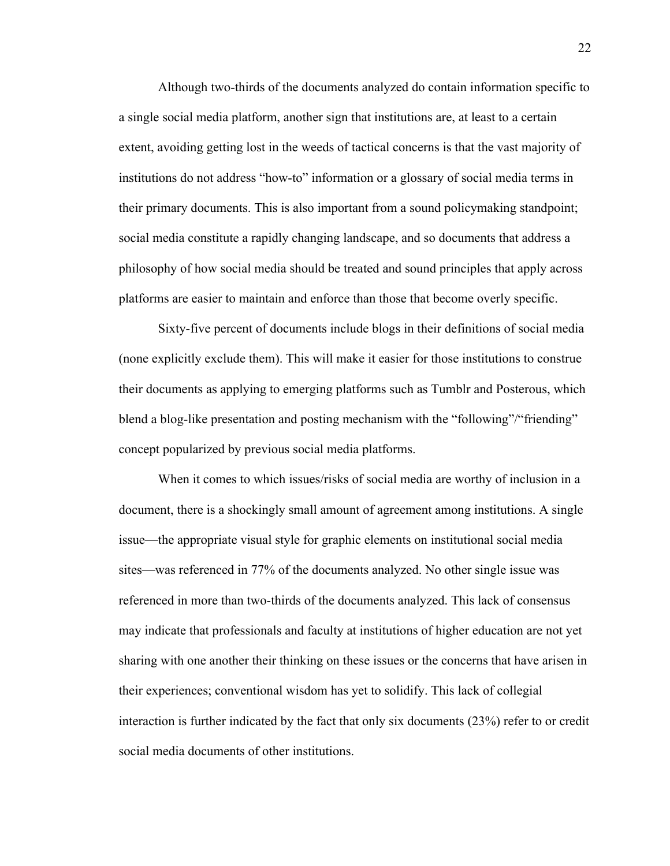Although two-thirds of the documents analyzed do contain information specific to a single social media platform, another sign that institutions are, at least to a certain extent, avoiding getting lost in the weeds of tactical concerns is that the vast majority of institutions do not address "how-to" information or a glossary of social media terms in their primary documents. This is also important from a sound policymaking standpoint; social media constitute a rapidly changing landscape, and so documents that address a philosophy of how social media should be treated and sound principles that apply across platforms are easier to maintain and enforce than those that become overly specific.

Sixty-five percent of documents include blogs in their definitions of social media (none explicitly exclude them). This will make it easier for those institutions to construe their documents as applying to emerging platforms such as Tumblr and Posterous, which blend a blog-like presentation and posting mechanism with the "following"/"friending" concept popularized by previous social media platforms.

When it comes to which issues/risks of social media are worthy of inclusion in a document, there is a shockingly small amount of agreement among institutions. A single issue—the appropriate visual style for graphic elements on institutional social media sites—was referenced in 77% of the documents analyzed. No other single issue was referenced in more than two-thirds of the documents analyzed. This lack of consensus may indicate that professionals and faculty at institutions of higher education are not yet sharing with one another their thinking on these issues or the concerns that have arisen in their experiences; conventional wisdom has yet to solidify. This lack of collegial interaction is further indicated by the fact that only six documents (23%) refer to or credit social media documents of other institutions.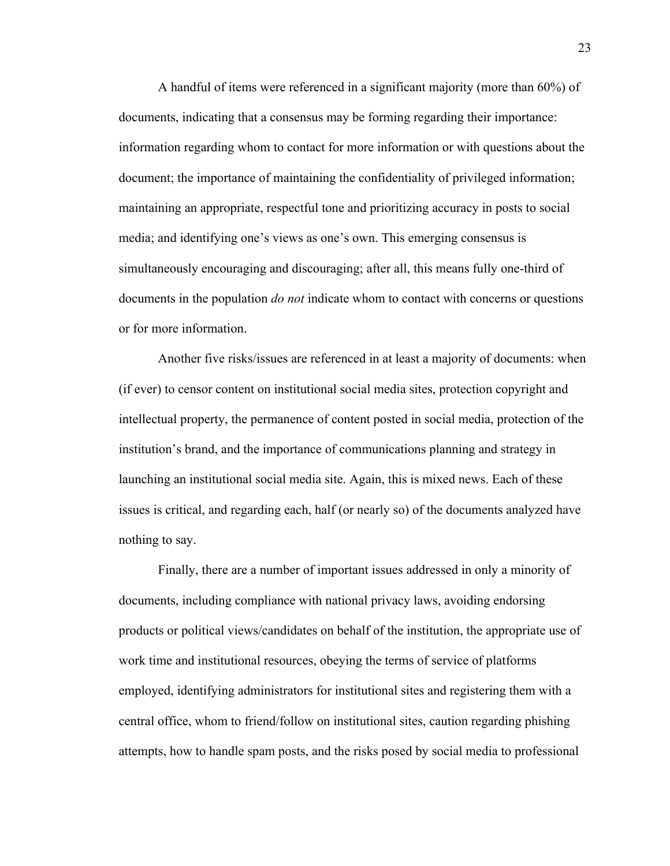A handful of items were referenced in a significant majority (more than 60%) of documents, indicating that a consensus may be forming regarding their importance: information regarding whom to contact for more information or with questions about the document; the importance of maintaining the confidentiality of privileged information; maintaining an appropriate, respectful tone and prioritizing accuracy in posts to social media; and identifying one's views as one's own. This emerging consensus is simultaneously encouraging and discouraging; after all, this means fully one-third of documents in the population *do not* indicate whom to contact with concerns or questions or for more information.

Another five risks/issues are referenced in at least a majority of documents: when (if ever) to censor content on institutional social media sites, protection copyright and intellectual property, the permanence of content posted in social media, protection of the institution's brand, and the importance of communications planning and strategy in launching an institutional social media site. Again, this is mixed news. Each of these issues is critical, and regarding each, half (or nearly so) of the documents analyzed have nothing to say.

Finally, there are a number of important issues addressed in only a minority of documents, including compliance with national privacy laws, avoiding endorsing products or political views/candidates on behalf of the institution, the appropriate use of work time and institutional resources, obeying the terms of service of platforms employed, identifying administrators for institutional sites and registering them with a central office, whom to friend/follow on institutional sites, caution regarding phishing attempts, how to handle spam posts, and the risks posed by social media to professional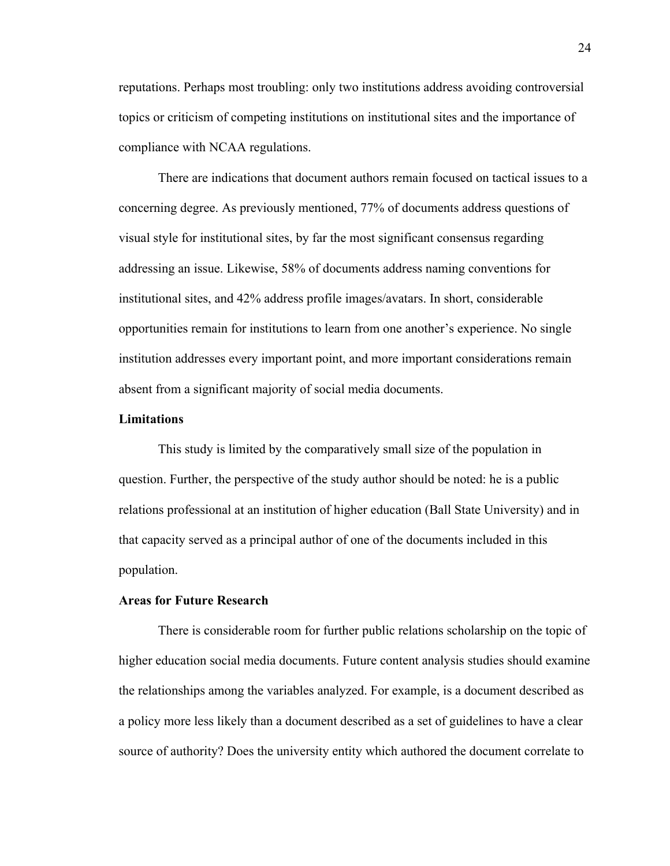reputations. Perhaps most troubling: only two institutions address avoiding controversial topics or criticism of competing institutions on institutional sites and the importance of compliance with NCAA regulations.

There are indications that document authors remain focused on tactical issues to a concerning degree. As previously mentioned, 77% of documents address questions of visual style for institutional sites, by far the most significant consensus regarding addressing an issue. Likewise, 58% of documents address naming conventions for institutional sites, and 42% address profile images/avatars. In short, considerable opportunities remain for institutions to learn from one another's experience. No single institution addresses every important point, and more important considerations remain absent from a significant majority of social media documents.

#### **Limitations**

This study is limited by the comparatively small size of the population in question. Further, the perspective of the study author should be noted: he is a public relations professional at an institution of higher education (Ball State University) and in that capacity served as a principal author of one of the documents included in this population.

#### **Areas for Future Research**

There is considerable room for further public relations scholarship on the topic of higher education social media documents. Future content analysis studies should examine the relationships among the variables analyzed. For example, is a document described as a policy more less likely than a document described as a set of guidelines to have a clear source of authority? Does the university entity which authored the document correlate to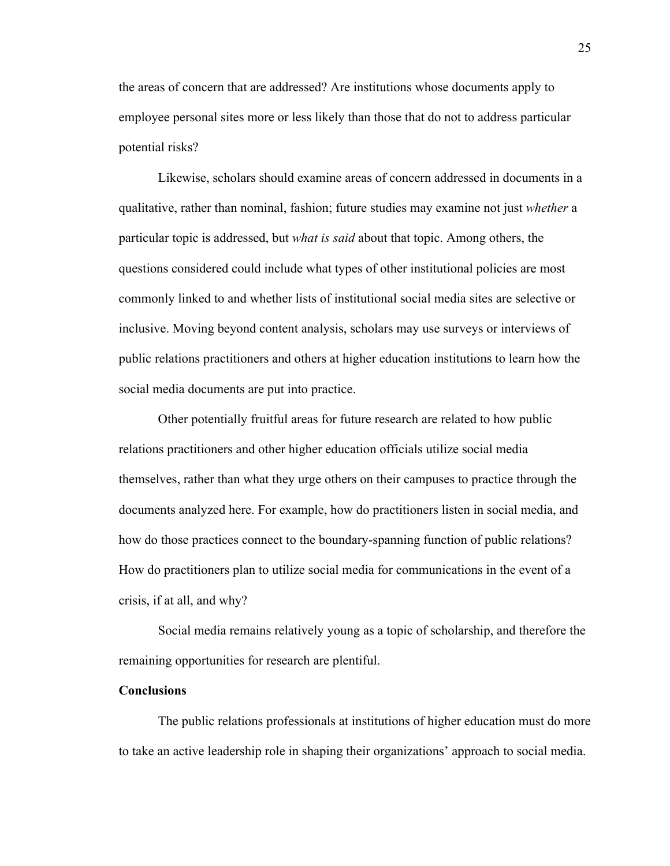the areas of concern that are addressed? Are institutions whose documents apply to employee personal sites more or less likely than those that do not to address particular potential risks?

Likewise, scholars should examine areas of concern addressed in documents in a qualitative, rather than nominal, fashion; future studies may examine not just *whether* a particular topic is addressed, but *what is said* about that topic. Among others, the questions considered could include what types of other institutional policies are most commonly linked to and whether lists of institutional social media sites are selective or inclusive. Moving beyond content analysis, scholars may use surveys or interviews of public relations practitioners and others at higher education institutions to learn how the social media documents are put into practice.

Other potentially fruitful areas for future research are related to how public relations practitioners and other higher education officials utilize social media themselves, rather than what they urge others on their campuses to practice through the documents analyzed here. For example, how do practitioners listen in social media, and how do those practices connect to the boundary-spanning function of public relations? How do practitioners plan to utilize social media for communications in the event of a crisis, if at all, and why?

Social media remains relatively young as a topic of scholarship, and therefore the remaining opportunities for research are plentiful.

#### **Conclusions**

The public relations professionals at institutions of higher education must do more to take an active leadership role in shaping their organizations' approach to social media.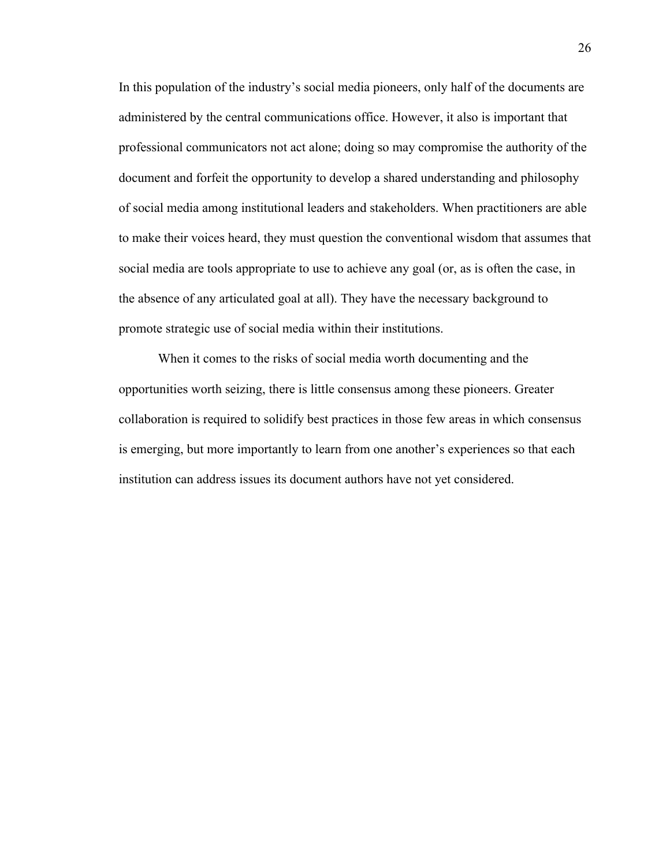In this population of the industry's social media pioneers, only half of the documents are administered by the central communications office. However, it also is important that professional communicators not act alone; doing so may compromise the authority of the document and forfeit the opportunity to develop a shared understanding and philosophy of social media among institutional leaders and stakeholders. When practitioners are able to make their voices heard, they must question the conventional wisdom that assumes that social media are tools appropriate to use to achieve any goal (or, as is often the case, in the absence of any articulated goal at all). They have the necessary background to promote strategic use of social media within their institutions.

When it comes to the risks of social media worth documenting and the opportunities worth seizing, there is little consensus among these pioneers. Greater collaboration is required to solidify best practices in those few areas in which consensus is emerging, but more importantly to learn from one another's experiences so that each institution can address issues its document authors have not yet considered.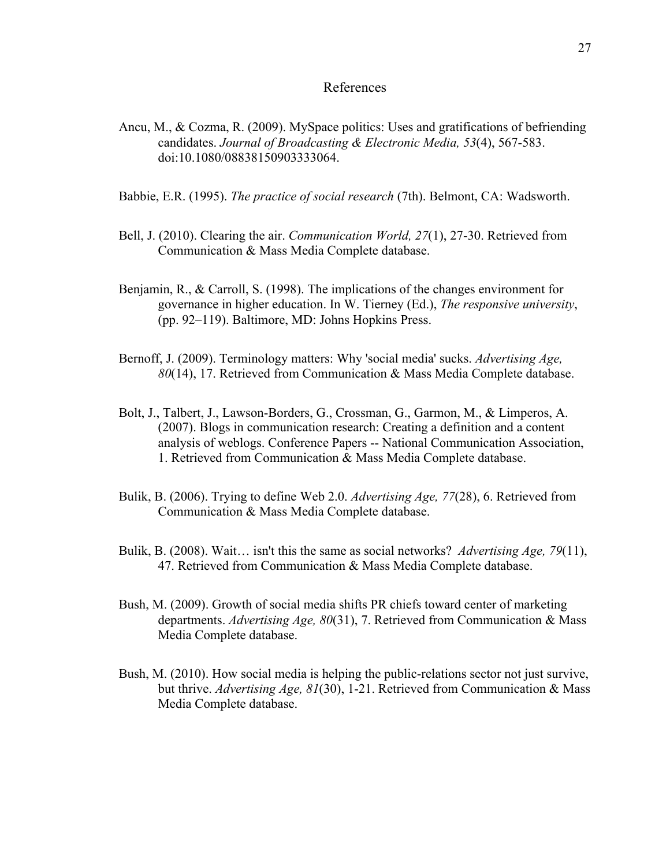#### References

- Ancu, M., & Cozma, R. (2009). MySpace politics: Uses and gratifications of befriending candidates. *Journal of Broadcasting & Electronic Media, 53*(4), 567-583. doi:10.1080/08838150903333064.
- Babbie, E.R. (1995). *The practice of social research* (7th). Belmont, CA: Wadsworth.
- Bell, J. (2010). Clearing the air. *Communication World, 27*(1), 27-30. Retrieved from Communication & Mass Media Complete database.
- Benjamin, R., & Carroll, S. (1998). The implications of the changes environment for governance in higher education. In W. Tierney (Ed.), *The responsive university*, (pp. 92–119). Baltimore, MD: Johns Hopkins Press.
- Bernoff, J. (2009). Terminology matters: Why 'social media' sucks. *Advertising Age, 80*(14), 17. Retrieved from Communication & Mass Media Complete database.
- Bolt, J., Talbert, J., Lawson-Borders, G., Crossman, G., Garmon, M., & Limperos, A. (2007). Blogs in communication research: Creating a definition and a content analysis of weblogs. Conference Papers -- National Communication Association, 1. Retrieved from Communication & Mass Media Complete database.
- Bulik, B. (2006). Trying to define Web 2.0. *Advertising Age, 77*(28), 6. Retrieved from Communication & Mass Media Complete database.
- Bulik, B. (2008). Wait… isn't this the same as social networks? *Advertising Age, 79*(11), 47. Retrieved from Communication & Mass Media Complete database.
- Bush, M. (2009). Growth of social media shifts PR chiefs toward center of marketing departments. *Advertising Age, 80*(31), 7. Retrieved from Communication & Mass Media Complete database.
- Bush, M. (2010). How social media is helping the public-relations sector not just survive, but thrive. *Advertising Age, 81*(30), 1-21. Retrieved from Communication & Mass Media Complete database.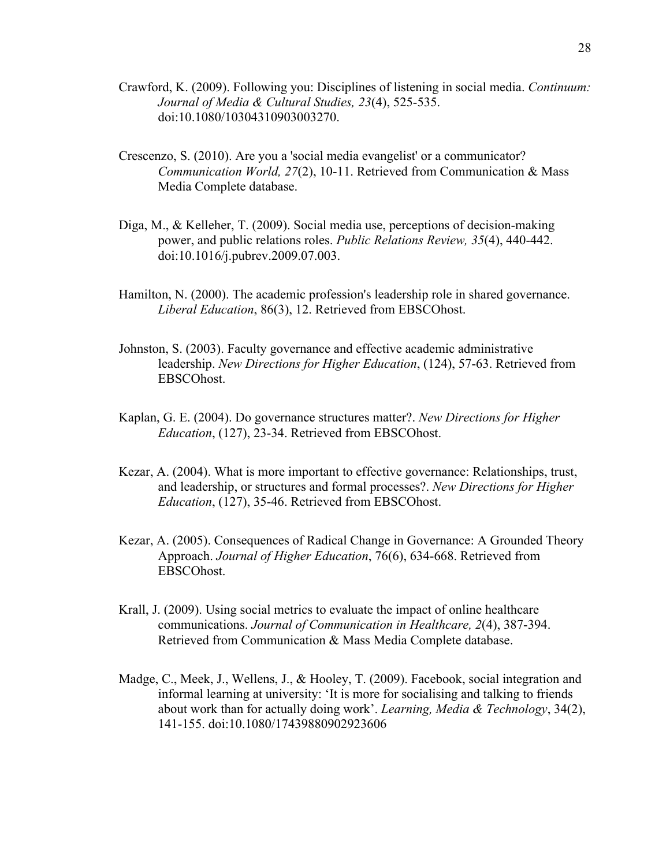- Crawford, K. (2009). Following you: Disciplines of listening in social media. *Continuum: Journal of Media & Cultural Studies, 23*(4), 525-535. doi:10.1080/10304310903003270.
- Crescenzo, S. (2010). Are you a 'social media evangelist' or a communicator? *Communication World, 27*(2), 10-11. Retrieved from Communication & Mass Media Complete database.
- Diga, M., & Kelleher, T. (2009). Social media use, perceptions of decision-making power, and public relations roles. *Public Relations Review, 35*(4), 440-442. doi:10.1016/j.pubrev.2009.07.003.
- Hamilton, N. (2000). The academic profession's leadership role in shared governance. *Liberal Education*, 86(3), 12. Retrieved from EBSCOhost.
- Johnston, S. (2003). Faculty governance and effective academic administrative leadership. *New Directions for Higher Education*, (124), 57-63. Retrieved from EBSCOhost.
- Kaplan, G. E. (2004). Do governance structures matter?. *New Directions for Higher Education*, (127), 23-34. Retrieved from EBSCOhost.
- Kezar, A. (2004). What is more important to effective governance: Relationships, trust, and leadership, or structures and formal processes?. *New Directions for Higher Education*, (127), 35-46. Retrieved from EBSCOhost.
- Kezar, A. (2005). Consequences of Radical Change in Governance: A Grounded Theory Approach. *Journal of Higher Education*, 76(6), 634-668. Retrieved from EBSCOhost.
- Krall, J. (2009). Using social metrics to evaluate the impact of online healthcare communications. *Journal of Communication in Healthcare, 2*(4), 387-394. Retrieved from Communication & Mass Media Complete database.
- Madge, C., Meek, J., Wellens, J., & Hooley, T. (2009). Facebook, social integration and informal learning at university: 'It is more for socialising and talking to friends about work than for actually doing work'. *Learning, Media & Technology*, 34(2), 141-155. doi:10.1080/17439880902923606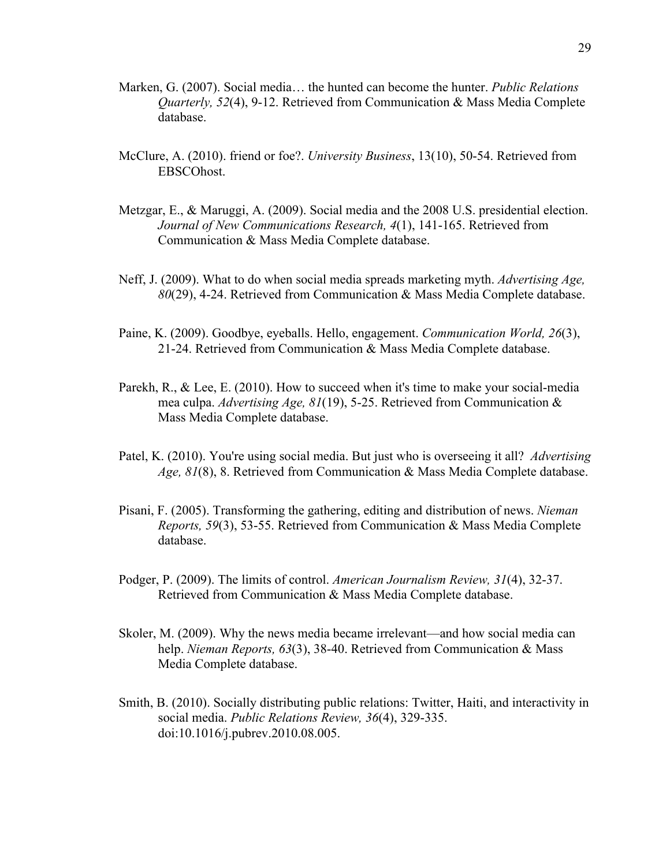- Marken, G. (2007). Social media… the hunted can become the hunter. *Public Relations Quarterly, 52*(4), 9-12. Retrieved from Communication & Mass Media Complete database.
- McClure, A. (2010). friend or foe?. *University Business*, 13(10), 50-54. Retrieved from EBSCOhost.
- Metzgar, E., & Maruggi, A. (2009). Social media and the 2008 U.S. presidential election. *Journal of New Communications Research, 4*(1), 141-165. Retrieved from Communication & Mass Media Complete database.
- Neff, J. (2009). What to do when social media spreads marketing myth. *Advertising Age, 80*(29), 4-24. Retrieved from Communication & Mass Media Complete database.
- Paine, K. (2009). Goodbye, eyeballs. Hello, engagement. *Communication World, 26*(3), 21-24. Retrieved from Communication & Mass Media Complete database.
- Parekh, R., & Lee, E. (2010). How to succeed when it's time to make your social-media mea culpa. *Advertising Age, 81*(19), 5-25. Retrieved from Communication & Mass Media Complete database.
- Patel, K. (2010). You're using social media. But just who is overseeing it all? *Advertising Age, 81*(8), 8. Retrieved from Communication & Mass Media Complete database.
- Pisani, F. (2005). Transforming the gathering, editing and distribution of news. *Nieman Reports, 59*(3), 53-55. Retrieved from Communication & Mass Media Complete database.
- Podger, P. (2009). The limits of control. *American Journalism Review, 31*(4), 32-37. Retrieved from Communication & Mass Media Complete database.
- Skoler, M. (2009). Why the news media became irrelevant—and how social media can help. *Nieman Reports, 63*(3), 38-40. Retrieved from Communication & Mass Media Complete database.
- Smith, B. (2010). Socially distributing public relations: Twitter, Haiti, and interactivity in social media. *Public Relations Review, 36*(4), 329-335. doi:10.1016/j.pubrev.2010.08.005.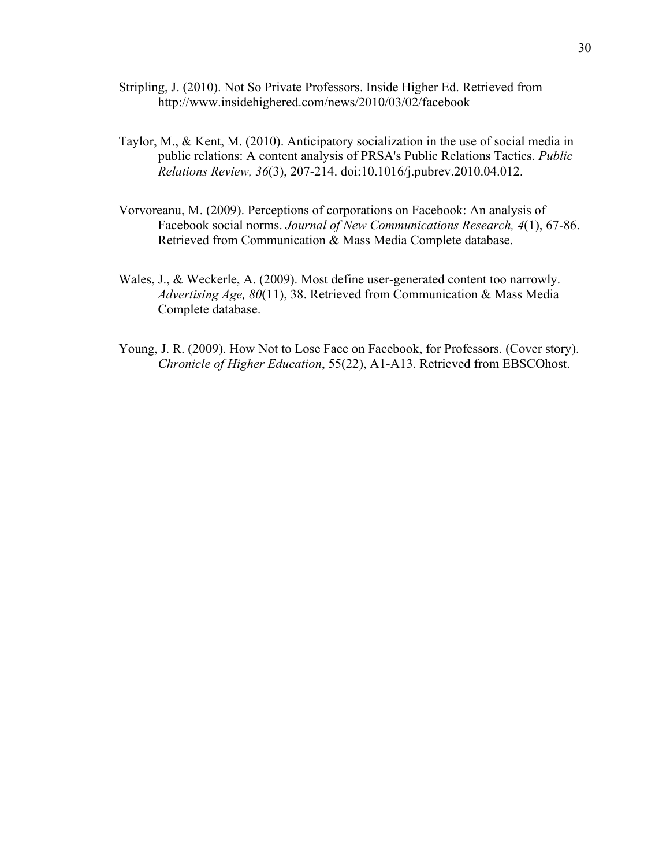- Stripling, J. (2010). Not So Private Professors. Inside Higher Ed. Retrieved from http://www.insidehighered.com/news/2010/03/02/facebook
- Taylor, M., & Kent, M. (2010). Anticipatory socialization in the use of social media in public relations: A content analysis of PRSA's Public Relations Tactics. *Public Relations Review, 36*(3), 207-214. doi:10.1016/j.pubrev.2010.04.012.
- Vorvoreanu, M. (2009). Perceptions of corporations on Facebook: An analysis of Facebook social norms. *Journal of New Communications Research, 4*(1), 67-86. Retrieved from Communication & Mass Media Complete database.
- Wales, J., & Weckerle, A. (2009). Most define user-generated content too narrowly. *Advertising Age, 80*(11), 38. Retrieved from Communication & Mass Media Complete database.
- Young, J. R. (2009). How Not to Lose Face on Facebook, for Professors. (Cover story). *Chronicle of Higher Education*, 55(22), A1-A13. Retrieved from EBSCOhost.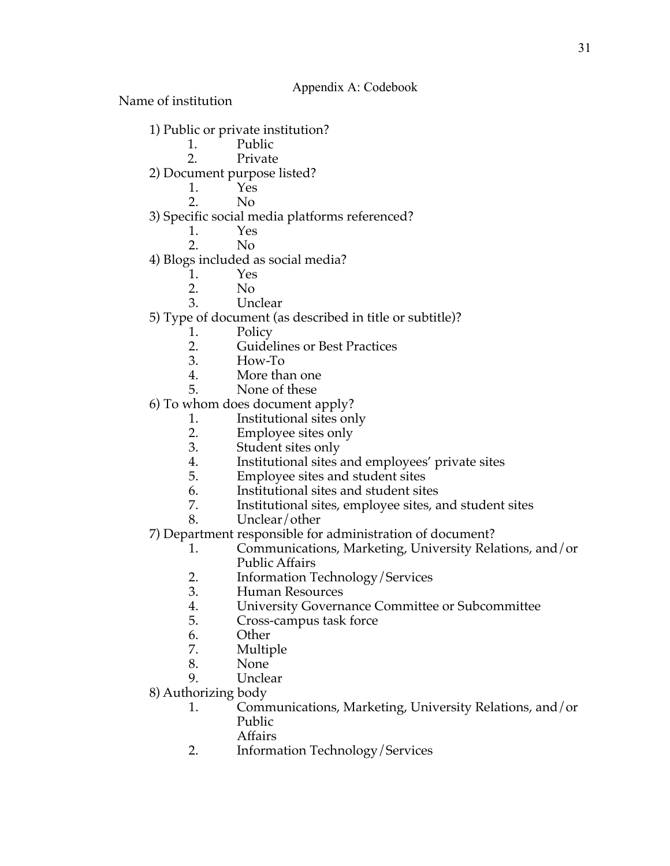Name of institution

- 1) Public or private institution?
	- 1. Public
	- 2. Private
- 2) Document purpose listed?
	-
	- 1. Yes<br>2. No 2. No
- 3) Specific social media platforms referenced?
	- 1. Yes
	- 2. No
- 4) Blogs included as social media?
	- 1. Yes<br>2. No
		- N<sub>o</sub>
	- 3. Unclear
- 5) Type of document (as described in title or subtitle)?
	- 1. Policy<br>2. Guidel
	- 2. Guidelines or Best Practices<br>3. How-To
	- 3. How-To
	- More than one
	- 5. None of these
- 6) To whom does document apply?
	- 1. Institutional sites only<br>2. Employee sites only
	- Employee sites only
	- 3. Student sites only
	- 4. Institutional sites and employees' private sites<br>5. Employee sites and student sites
	- 5. Employee sites and student sites
	- 6. Institutional sites and student sites<br>7. Institutional sites, employee sites, a
	- Institutional sites, employee sites, and student sites
	- 8. Unclear/other
- 7) Department responsible for administration of document?
	- 1. Communications, Marketing, University Relations, and/or Public Affairs
	- 2. Information Technology/Services
	- 3. Human Resources
	- 4. University Governance Committee or Subcommittee
	- 5. Cross-campus task force
	- 6. Other
	- 7. Multiple<br>8. None
	- None<sup>1</sup>
	- 9. Unclear
- 8) Authorizing body
	- 1. Communications, Marketing, University Relations, and/or Public
		- Affairs
	- 2. Information Technology/Services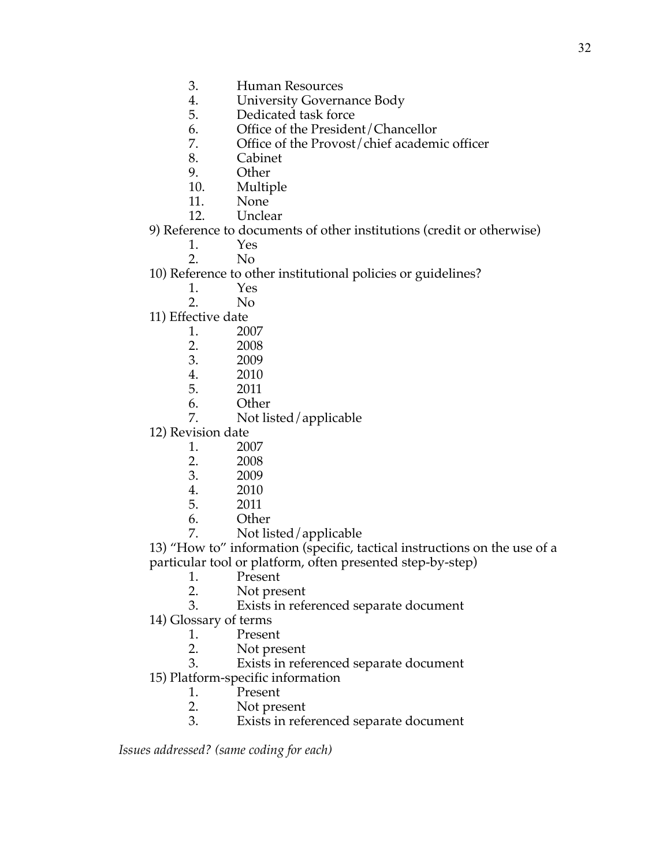- 4. University Governance Body<br>5. Dedicated task force
- Dedicated task force
- 6. Office of the President/Chancellor
- 7. Office of the Provost/chief academic officer 8.
- **Cabinet**
- 9. Other
- 10. Multiple
- 11. None
- 12. Unclear

### 9) Reference to documents of other institutions (credit or otherwise)

- 1. Yes<br>2. No
	- N<sub>o</sub>

## 10) Reference to other institutional policies or guidelines?

- 1. Yes
- 2. No
- 11) Effective date
	- 1. 2007<br>2. 2008
	- 2. 2008
	- 3. 2009
	- 4. 2010
	- 5. 2011
	- 6. Other
	- 7. Not listed/applicable
- 12) Revision date
	- 1. 2007
	- 2. 2008<br>3. 2009
	- 3. 2009<br>4. 2010
	- 4. 2010
	- 5. 2011
	- 6. Other
	- 7. Not listed/applicable

13) "How to" information (specific, tactical instructions on the use of a particular tool or platform, often presented step-by-step)

- 1. Present<br>2. Not pre
- Not present
- 3. Exists in referenced separate document
- 14) Glossary of terms
	- 1. Present
	- 2. Not present<br>3. Exists in refe
	- Exists in referenced separate document
- 15) Platform-specific information
	- 1. Present<br>2. Not pre
	- Not present
	- 3. Exists in referenced separate document

*Issues addressed? (same coding for each)*